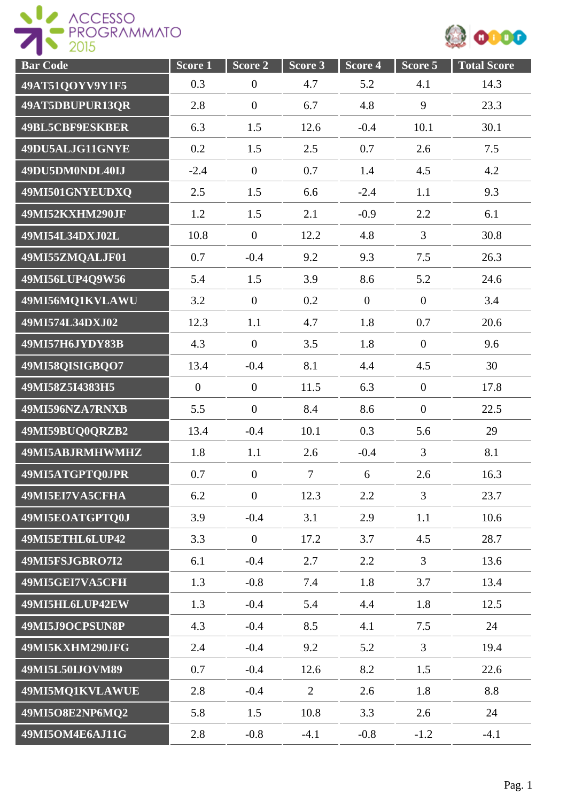



| <b>Bar Code</b>        | Score 1          | $\overline{\text{Score}}$ 2 | Score 3        | Score 4      | $Score$ 5        | <b>Total Score</b> |
|------------------------|------------------|-----------------------------|----------------|--------------|------------------|--------------------|
| 49AT51QOYV9Y1F5        | 0.3              | $\boldsymbol{0}$            | 4.7            | 5.2          | 4.1              | 14.3               |
| 49AT5DBUPUR13QR        | 2.8              | $\boldsymbol{0}$            | 6.7            | 4.8          | 9                | 23.3               |
| <b>49BL5CBF9ESKBER</b> | 6.3              | 1.5                         | 12.6           | $-0.4$       | 10.1             | 30.1               |
| 49DU5ALJG11GNYE        | 0.2              | 1.5                         | 2.5            | 0.7          | 2.6              | 7.5                |
| 49DU5DM0NDL40IJ        | $-2.4$           | $\boldsymbol{0}$            | 0.7            | 1.4          | 4.5              | 4.2                |
| 49MI501GNYEUDXQ        | 2.5              | 1.5                         | 6.6            | $-2.4$       | 1.1              | 9.3                |
| 49MI52KXHM290JF        | 1.2              | 1.5                         | 2.1            | $-0.9$       | 2.2              | 6.1                |
| 49MI54L34DXJ02L        | 10.8             | $\boldsymbol{0}$            | 12.2           | 4.8          | 3                | 30.8               |
| 49MI55ZMQALJF01        | 0.7              | $-0.4$                      | 9.2            | 9.3          | 7.5              | 26.3               |
| 49MI56LUP4Q9W56        | 5.4              | 1.5                         | 3.9            | 8.6          | 5.2              | 24.6               |
| 49MI56MQ1KVLAWU        | 3.2              | $\mathbf{0}$                | 0.2            | $\mathbf{0}$ | $\overline{0}$   | 3.4                |
| 49MI574L34DXJ02        | 12.3             | 1.1                         | 4.7            | 1.8          | 0.7              | 20.6               |
| 49MI57H6JYDY83B        | 4.3              | $\overline{0}$              | 3.5            | 1.8          | $\overline{0}$   | 9.6                |
| 49MI58QISIGBQO7        | 13.4             | $-0.4$                      | 8.1            | 4.4          | 4.5              | 30                 |
| 49MI58Z5I4383H5        | $\boldsymbol{0}$ | $\boldsymbol{0}$            | 11.5           | 6.3          | $\boldsymbol{0}$ | 17.8               |
| 49MI596NZA7RNXB        | 5.5              | $\boldsymbol{0}$            | 8.4            | 8.6          | $\overline{0}$   | 22.5               |
| 49MI59BUQ0QRZB2        | 13.4             | $-0.4$                      | 10.1           | 0.3          | 5.6              | 29                 |
| 49MI5ABJRMHWMHZ        | 1.8              | 1.1                         | 2.6            | $-0.4$       | 3                | 8.1                |
| 49MI5ATGPTQ0JPR        | 0.7              | $\boldsymbol{0}$            | $\overline{7}$ | 6            | 2.6              | 16.3               |
| 49MI5EI7VA5CFHA        | 6.2              | $\mathbf{0}$                | 12.3           | 2.2          | $\overline{3}$   | 23.7               |
| 49MI5EOATGPTQ0J        | 3.9              | $-0.4$                      | 3.1            | 2.9          | 1.1              | 10.6               |
| 49MI5ETHL6LUP42        | 3.3              | $\mathbf{0}$                | 17.2           | 3.7          | 4.5              | 28.7               |
| 49MI5FSJGBRO7I2        | 6.1              | $-0.4$                      | 2.7            | 2.2          | $\overline{3}$   | 13.6               |
| 49MI5GEI7VA5CFH        | 1.3              | $-0.8$                      | 7.4            | 1.8          | 3.7              | 13.4               |
| 49MI5HL6LUP42EW        | 1.3              | $-0.4$                      | 5.4            | 4.4          | 1.8              | 12.5               |
| 49MI5J9OCPSUN8P        | 4.3              | $-0.4$                      | 8.5            | 4.1          | 7.5              | 24                 |
| 49MI5KXHM290JFG        | 2.4              | $-0.4$                      | 9.2            | 5.2          | $\overline{3}$   | 19.4               |
| 49MI5L50IJOVM89        | 0.7              | $-0.4$                      | 12.6           | 8.2          | 1.5              | 22.6               |
| 49MI5MQ1KVLAWUE        | 2.8              | $-0.4$                      | $\overline{2}$ | 2.6          | 1.8              | 8.8                |
| 49MI5O8E2NP6MQ2        | 5.8              | 1.5                         | 10.8           | 3.3          | 2.6              | 24                 |
| 49MI5OM4E6AJ11G        | 2.8              | $-0.8$                      | $-4.1$         | $-0.8$       | $-1.2$           | $-4.1$             |